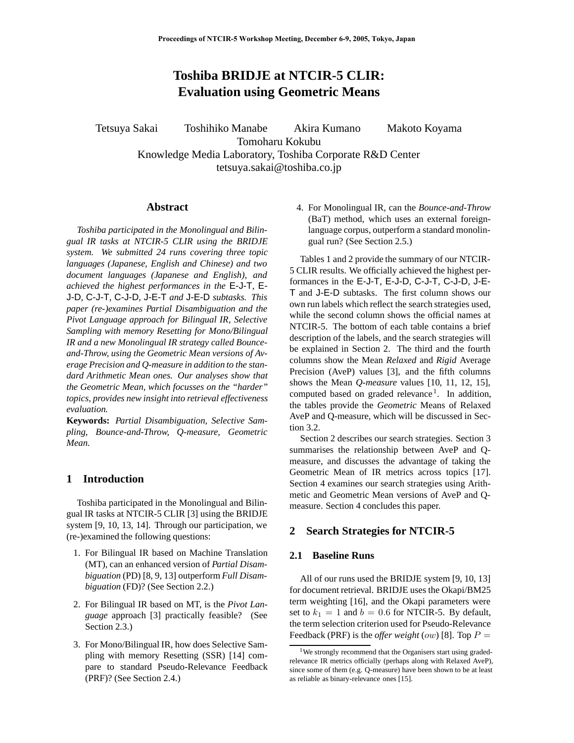# **Toshiba BRIDJE at NTCIR-5 CLIR: Evaluation using Geometric Means**

Tetsuya Sakai Toshihiko Manabe Akira Kumano Makoto Koyama Tomoharu Kokubu Knowledge Media Laboratory, Toshiba Corporate R&D Center tetsuya.sakai@toshiba.co.jp

## **Abstract**

*Toshiba participated in the Monolingual and Bilingual IR tasks at NTCIR-5 CLIR using the BRIDJE system. We submitted 24 runs covering three topic languages (Japanese, English and Chinese) and two document languages (Japanese and English), and achieved the highest performances in the* E-J-T*,* E-J-D*,* C-J-T*,* C-J-D*,* J-E-T *and* J-E-D *subtasks. This paper (re-)examines Partial Disambiguation and the Pivot Language approach for Bilingual IR, Selective Sampling with memory Resetting for Mono/Bilingual IR and a new Monolingual IR strategy called Bounceand-Throw, using the Geometric Mean versions of Average Precision and Q-measure in addition to the standard Arithmetic Mean ones. Our analyses show that the Geometric Mean, which focusses on the "harder" topics, provides new insight into retrieval effectiveness evaluation.*

**Keywords:** *Partial Disambiguation, Selective Sampling, Bounce-and-Throw, Q-measure, Geometric Mean.*

# **1 Introduction**

Toshiba participated in the Monolingual and Bilingual IR tasks at NTCIR-5 CLIR [3] using the BRIDJE system [9, 10, 13, 14]. Through our participation, we (re-)examined the following questions:

- 1. For Bilingual IR based on Machine Translation (MT), can an enhanced version of *Partial Disambiguation* (PD) [8, 9, 13] outperform *Full Disambiguation* (FD)? (See Section 2.2.)
- 2. For Bilingual IR based on MT, is the *Pivot Language* approach [3] practically feasible? (See Section 2.3.)
- 3. For Mono/Bilingual IR, how does Selective Sampling with memory Resetting (SSR) [14] compare to standard Pseudo-Relevance Feedback (PRF)? (See Section 2.4.)

4. For Monolingual IR, can the *Bounce-and-Throw* (BaT) method, which uses an external foreignlanguage corpus, outperform a standard monolingual run? (See Section 2.5.)

Tables 1 and 2 provide the summary of our NTCIR-5 CLIR results. We officially achieved the highest performances in the E-J-T, E-J-D, C-J-T, C-J-D, J-E-T and J-E-D subtasks. The first column shows our own run labels which reflect the search strategies used, while the second column shows the official names at NTCIR-5. The bottom of each table contains a brief description of the labels, and the search strategies will be explained in Section 2. The third and the fourth columns show the Mean *Relaxed* and *Rigid* Average Precision (AveP) values [3], and the fifth columns shows the Mean *Q-measure* values [10, 11, 12, 15], computed based on graded relevance<sup>1</sup>. In addition, the tables provide the *Geometric* Means of Relaxed AveP and Q-measure, which will be discussed in Section 3.2.

Section 2 describes our search strategies. Section 3 summarises the relationship between AveP and Qmeasure, and discusses the advantage of taking the Geometric Mean of IR metrics across topics [17]. Section 4 examines our search strategies using Arithmetic and Geometric Mean versions of AveP and Qmeasure. Section 4 concludes this paper.

# **2 Search Strategies for NTCIR-5**

## **2.1 Baseline Runs**

All of our runs used the BRIDJE system [9, 10, 13] for document retrieval. BRIDJE uses the Okapi/BM25 term weighting [16], and the Okapi parameters were set to  $k_1 = 1$  and  $b = 0.6$  for NTCIR-5. By default, the term selection criterion used for Pseudo-Relevance Feedback (PRF) is the *offer weight* (*ow*) [8]. Top  $P =$ 

<sup>&</sup>lt;sup>1</sup>We strongly recommend that the Organisers start using gradedrelevance IR metrics officially (perhaps along with Relaxed AveP), since some of them (e.g. Q-measure) have been shown to be at least as reliable as binary-relevance ones [15].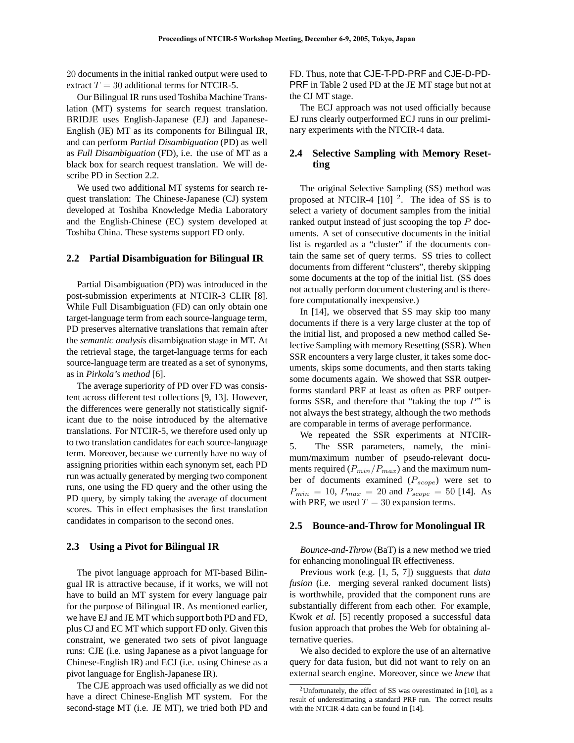20 documents in the initial ranked output were used to extract  $T = 30$  additional terms for NTCIR-5.

Our Bilingual IR runs used Toshiba Machine Translation (MT) systems for search request translation. BRIDJE uses English-Japanese (EJ) and Japanese-English (JE) MT as its components for Bilingual IR, and can perform *Partial Disambiguation* (PD) as well as *Full Disambiguation* (FD), i.e. the use of MT as a black box for search request translation. We will describe PD in Section 2.2.

We used two additional MT systems for search request translation: The Chinese-Japanese (CJ) system developed at Toshiba Knowledge Media Laboratory and the English-Chinese (EC) system developed at Toshiba China. These systems support FD only.

# **2.2 Partial Disambiguation for Bilingual IR**

Partial Disambiguation (PD) was introduced in the post-submission experiments at NTCIR-3 CLIR [8]. While Full Disambiguation (FD) can only obtain one target-language term from each source-language term, PD preserves alternative translations that remain after the *semantic analysis* disambiguation stage in MT. At the retrieval stage, the target-language terms for each source-language term are treated as a set of synonyms, as in *Pirkola's method* [6].

The average superiority of PD over FD was consistent across different test collections [9, 13]. However, the differences were generally not statistically significant due to the noise introduced by the alternative translations. For NTCIR-5, we therefore used only up to two translation candidates for each source-language term. Moreover, because we currently have no way of assigning priorities within each synonym set, each PD run was actually generated by merging two component runs, one using the FD query and the other using the PD query, by simply taking the average of document scores. This in effect emphasises the first translation candidates in comparison to the second ones.

#### **2.3 Using a Pivot for Bilingual IR**

The pivot language approach for MT-based Bilingual IR is attractive because, if it works, we will not have to build an MT system for every language pair for the purpose of Bilingual IR. As mentioned earlier, we have EJ and JE MT which support both PD and FD, plus CJ and EC MT which support FD only. Given this constraint, we generated two sets of pivot language runs: CJE (i.e. using Japanese as a pivot language for Chinese-English IR) and ECJ (i.e. using Chinese as a pivot language for English-Japanese IR).

The CJE approach was used officially as we did not have a direct Chinese-English MT system. For the second-stage MT (i.e. JE MT), we tried both PD and

FD. Thus, note that CJE-T-PD-PRF and CJE-D-PD-PRF in Table 2 used PD at the JE MT stage but not at the CJ MT stage.

The ECJ approach was not used officially because EJ runs clearly outperformed ECJ runs in our preliminary experiments with the NTCIR-4 data.

# **2.4 Selective Sampling with Memory Resetting**

The original Selective Sampling (SS) method was proposed at NTCIR-4  $[10]$  <sup>2</sup>. The idea of SS is to select a variety of document samples from the initial ranked output instead of just scooping the top  $P$  documents. A set of consecutive documents in the initial list is regarded as a "cluster" if the documents contain the same set of query terms. SS tries to collect documents from different "clusters", thereby skipping some documents at the top of the initial list. (SS does not actually perform document clustering and is therefore computationally inexpensive.)

In [14], we observed that SS may skip too many documents if there is a very large cluster at the top of the initial list, and proposed a new method called Selective Sampling with memory Resetting (SSR). When SSR encounters a very large cluster, it takes some documents, skips some documents, and then starts taking some documents again. We showed that SSR outperforms standard PRF at least as often as PRF outperforms SSR, and therefore that "taking the top  $P$ " is not always the best strategy, although the two methods are comparable in terms of average performance.

We repeated the SSR experiments at NTCIR-5. The SSR parameters, namely, the minimum/maximum number of pseudo-relevant documents required (P*min*/P*max*) and the maximum number of documents examined (P*scope*) were set to  $P_{min} = 10$ ,  $P_{max} = 20$  and  $P_{scope} = 50$  [14]. As with PRF, we used  $T = 30$  expansion terms.

## **2.5 Bounce-and-Throw for Monolingual IR**

*Bounce-and-Throw* (BaT) is a new method we tried for enhancing monolingual IR effectiveness.

Previous work (e.g. [1, 5, 7]) sugguests that *data fusion* (i.e. merging several ranked document lists) is worthwhile, provided that the component runs are substantially different from each other. For example, Kwok *et al.* [5] recently proposed a successful data fusion approach that probes the Web for obtaining alternative queries.

We also decided to explore the use of an alternative query for data fusion, but did not want to rely on an external search engine. Moreover, since we *knew* that

<sup>&</sup>lt;sup>2</sup>Unfortunately, the effect of SS was overestimated in [10], as a result of underestimating a standard PRF run. The correct results with the NTCIR-4 data can be found in [14].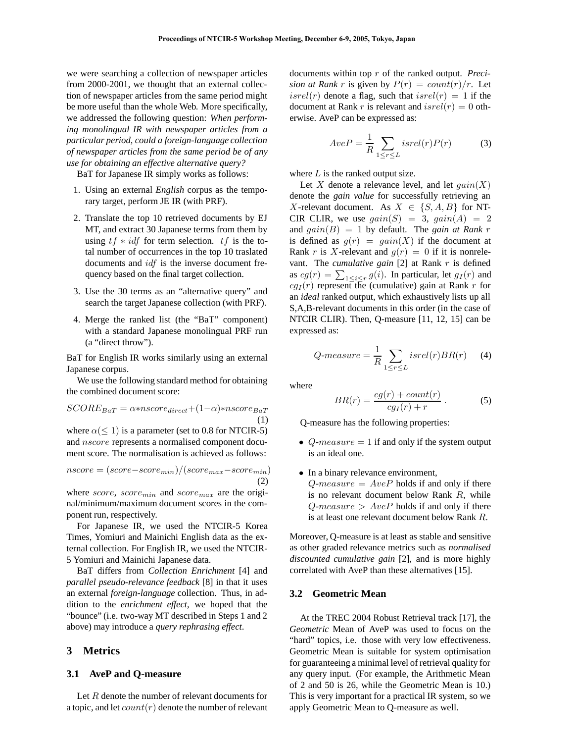we were searching a collection of newspaper articles from 2000-2001, we thought that an external collection of newspaper articles from the same period might be more useful than the whole Web. More specifically, we addressed the following question: *When performing monolingual IR with newspaper articles from a particular period, could a foreign-language collection of newspaper articles from the same period be of any use for obtaining an effective alternative query?*

BaT for Japanese IR simply works as follows:

- 1. Using an external *English* corpus as the temporary target, perform JE IR (with PRF).
- 2. Translate the top 10 retrieved documents by EJ MT, and extract 30 Japanese terms from them by using  $tf * idf$  for term selection.  $tf$  is the total number of occurrences in the top 10 traslated documents and idf is the inverse document frequency based on the final target collection.
- 3. Use the 30 terms as an "alternative query" and search the target Japanese collection (with PRF).
- 4. Merge the ranked list (the "BaT" component) with a standard Japanese monolingual PRF run (a "direct throw").

BaT for English IR works similarly using an external Japanese corpus.

We use the following standard method for obtaining the combined document score:

$$
SCORE_{BaT} = \alpha * nscore_{direct} + (1 - \alpha) * nscore_{BaT}
$$

$$
(1)
$$

where  $\alpha (\leq 1)$  is a parameter (set to 0.8 for NTCIR-5) and nscore represents a normalised component document score. The normalisation is achieved as follows:

$$
nscore = (score - score_{min})/(score_{max} - score_{min})
$$
  
(2)

where score, score*min* and score*max* are the original/minimum/maximum document scores in the component run, respectively.

For Japanese IR, we used the NTCIR-5 Korea Times, Yomiuri and Mainichi English data as the external collection. For English IR, we used the NTCIR-5 Yomiuri and Mainichi Japanese data.

BaT differs from *Collection Enrichment* [4] and *parallel pseudo-relevance feedback* [8] in that it uses an external *foreign-language* collection. Thus, in addition to the *enrichment effect*, we hoped that the "bounce" (i.e. two-way MT described in Steps 1 and 2 above) may introduce a *query rephrasing effect*.

## **3 Metrics**

#### **3.1 AveP and Q-measure**

Let R denote the number of relevant documents for a topic, and let  $count(r)$  denote the number of relevant documents within top r of the ranked output. *Precision at Rank r* is given by  $P(r) = count(r)/r$ . Let  $isrel(r)$  denote a flag, such that  $isrel(r)=1$  if the document at Rank r is relevant and  $isrel(r)=0$  otherwise. AveP can be expressed as:

$$
AveP = \frac{1}{R} \sum_{1 \le r \le L} isrel(r)P(r) \tag{3}
$$

where  $L$  is the ranked output size.

Let X denote a relevance level, and let  $\operatorname{gain}(X)$ denote the *gain value* for successfully retrieving an X-relevant document. As  $X \in \{S, A, B\}$  for NT-CIR CLIR, we use  $gain(S)=3$ ,  $gain(A)=2$ and  $gain(B)=1$  by default. The *gain at Rank* r is defined as  $g(r) = gain(X)$  if the document at Rank r is X-relevant and  $g(r)=0$  if it is nonrelevant. The *cumulative gain* [2] at Rank r is defined as  $cg(r) = \sum_{1 \leq i \leq r} g(i)$ . In particular, let  $g_I(r)$  and  $ca_I(r)$  represent the (cumulative) gain at Bank *r* for  $cg_I(r)$  represent the (cumulative) gain at Rank r for an *ideal* ranked output, which exhaustively lists up all S,A,B-relevant documents in this order (in the case of NTCIR CLIR). Then, Q-measure [11, 12, 15] can be expressed as:

$$
Q\text{-}measure = \frac{1}{R} \sum_{1 \le r \le L} isrel(r) BR(r) \tag{4}
$$

where

$$
BR(r) = \frac{cg(r) + count(r)}{cg_I(r) + r}.
$$
 (5)

Q-measure has the following properties:

- $Q$ -measure  $= 1$  if and only if the system output is an ideal one.
- In a binary relevance environment,  $Q$ -measure =  $AveP$  holds if and only if there is no relevant document below Rank R, while  $Q$ -measure >  $AveP$  holds if and only if there is at least one relevant document below Rank R.

Moreover, Q-measure is at least as stable and sensitive as other graded relevance metrics such as *normalised discounted cumulative gain* [2], and is more highly correlated with AveP than these alternatives [15].

#### **3.2 Geometric Mean**

At the TREC 2004 Robust Retrieval track [17], the *Geometric* Mean of AveP was used to focus on the "hard" topics, i.e. those with very low effectiveness. Geometric Mean is suitable for system optimisation for guaranteeing a minimal level of retrieval quality for any query input. (For example, the Arithmetic Mean of 2 and 50 is 26, while the Geometric Mean is 10.) This is very important for a practical IR system, so we apply Geometric Mean to Q-measure as well.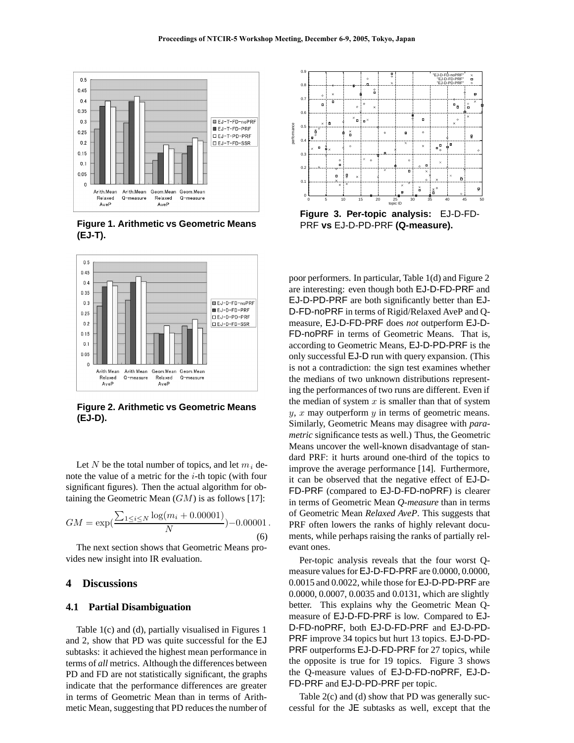

**Figure 1. Arithmetic vs Geometric Means (EJ-T).**



**Figure 2. Arithmetic vs Geometric Means (EJ-D).**

Let N be the total number of topics, and let  $m_i$  denote the value of a metric for the  $i$ -th topic (with four significant figures). Then the actual algorithm for obtaining the Geometric Mean  $(GM)$  is as follows [17]:

$$
GM = \exp\left(\frac{\sum_{1 \le i \le N} \log(m_i + 0.00001)}{N}\right) - 0.00001.
$$
\n(6)

The next section shows that Geometric Means provides new insight into IR evaluation.

# **4 Discussions**

#### **4.1 Partial Disambiguation**

Table 1(c) and (d), partially visualised in Figures 1 and 2, show that PD was quite successful for the EJ subtasks: it achieved the highest mean performance in terms of *all* metrics. Although the differences between PD and FD are not statistically significant, the graphs indicate that the performance differences are greater in terms of Geometric Mean than in terms of Arithmetic Mean, suggesting that PD reduces the number of



**Figure 3. Per-topic analysis:** EJ-D-FD-PRF **vs** EJ-D-PD-PRF **(Q-measure).**

poor performers. In particular, Table 1(d) and Figure 2 are interesting: even though both EJ-D-FD-PRF and EJ-D-PD-PRF are both significantly better than EJ-D-FD-noPRF in terms of Rigid/Relaxed AveP and Qmeasure, EJ-D-FD-PRF does *not* outperform EJ-D-FD-noPRF in terms of Geometric Means. That is, according to Geometric Means, EJ-D-PD-PRF is the only successful EJ-D run with query expansion. (This is not a contradiction: the sign test examines whether the medians of two unknown distributions representing the performances of two runs are different. Even if the median of system  $x$  is smaller than that of system  $y, x$  may outperform  $y$  in terms of geometric means. Similarly, Geometric Means may disagree with *parametric* significance tests as well.) Thus, the Geometric Means uncover the well-known disadvantage of standard PRF: it hurts around one-third of the topics to improve the average performance [14]. Furthermore, it can be observed that the negative effect of EJ-D-FD-PRF (compared to EJ-D-FD-noPRF) is clearer in terms of Geometric Mean *Q-measure* than in terms of Geometric Mean *Relaxed AveP*. This suggests that PRF often lowers the ranks of highly relevant documents, while perhaps raising the ranks of partially relevant ones.

Per-topic analysis reveals that the four worst Qmeasure values for EJ-D-FD-PRF are 0.0000, 0.0000, 0.0015 and 0.0022, while those for EJ-D-PD-PRF are 0.0000, 0.0007, 0.0035 and 0.0131, which are slightly better. This explains why the Geometric Mean Qmeasure of EJ-D-FD-PRF is low. Compared to EJ-D-FD-noPRF, both EJ-D-FD-PRF and EJ-D-PD-PRF improve 34 topics but hurt 13 topics. EJ-D-PD-PRF outperforms EJ-D-FD-PRF for 27 topics, while the opposite is true for 19 topics. Figure 3 shows the Q-measure values of EJ-D-FD-noPRF, EJ-D-FD-PRF and EJ-D-PD-PRF per topic.

Table 2(c) and (d) show that PD was generally successful for the JE subtasks as well, except that the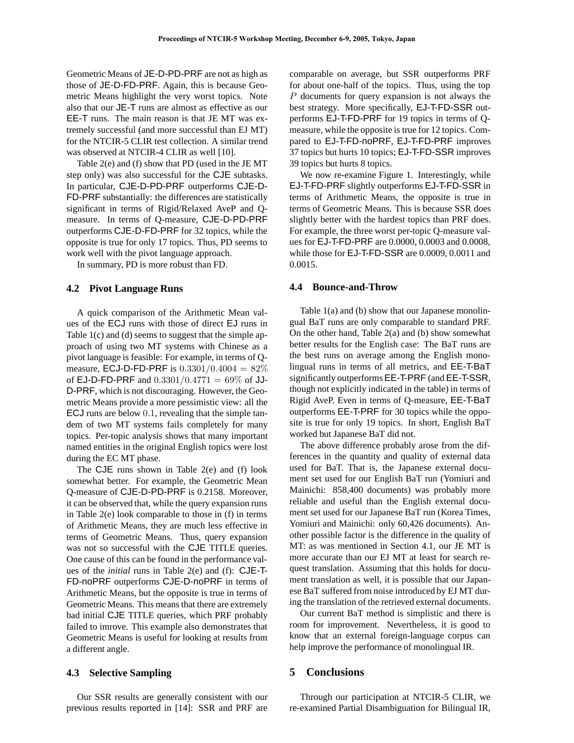Geometric Means of JE-D-PD-PRF are not as high as those of JE-D-FD-PRF. Again, this is because Geometric Means highlight the very worst topics. Note also that our JE-T runs are almost as effective as our EE-T runs. The main reason is that JE MT was extremely successful (and more successful than EJ MT) for the NTCIR-5 CLIR test collection. A similar trend was observed at NTCIR-4 CLIR as well [10].

Table 2(e) and (f) show that PD (used in the JE MT step only) was also successful for the CJE subtasks. In particular, CJE-D-PD-PRF outperforms CJE-D-FD-PRF substantially: the differences are statistically significant in terms of Rigid/Relaxed AveP and Qmeasure. In terms of Q-measure, CJE-D-PD-PRF outperforms CJE-D-FD-PRF for 32 topics, while the opposite is true for only 17 topics. Thus, PD seems to work well with the pivot language approach.

In summary, PD is more robust than FD.

#### **4.2 Pivot Language Runs**

A quick comparison of the Arithmetic Mean values of the ECJ runs with those of direct EJ runs in Table 1(c) and (d) seems to suggest that the simple approach of using two MT systems with Chinese as a pivot language is feasible: For example, in terms of Qmeasure, ECJ-D-FD-PRF is  $0.3301/0.4004 = 82\%$ of EJ-D-FD-PRF and  $0.3301/0.4771 = 69\%$  of JJ-D-PRF, which is not discouraging. However, the Geometric Means provide a more pessimistic view: all the ECJ runs are below 0.1, revealing that the simple tandem of two MT systems fails completely for many topics. Per-topic analysis shows that many important named entities in the original English topics were lost during the EC MT phase.

The CJE runs shown in Table 2(e) and (f) look somewhat better. For example, the Geometric Mean Q-measure of CJE-D-PD-PRF is 0.2158. Moreover, it can be observed that, while the query expansion runs in Table 2(e) look comparable to those in (f) in terms of Arithmetic Means, they are much less effective in terms of Geometric Means. Thus, query expansion was not so successful with the CJE TITLE queries. One cause of this can be found in the performance values of the *initial* runs in Table 2(e) and (f): CJE-T-FD-noPRF outperforms CJE-D-noPRF in terms of Arithmetic Means, but the opposite is true in terms of Geometric Means. This means that there are extremely bad initial CJE TITLE queries, which PRF probably failed to imrove. This example also demonstrates that Geometric Means is useful for looking at results from a different angle.

#### **4.3 Selective Sampling**

Our SSR results are generally consistent with our previous results reported in [14]: SSR and PRF are

comparable on average, but SSR outperforms PRF for about one-half of the topics. Thus, using the top P documents for query expansion is not always the best strategy. More specifically, EJ-T-FD-SSR outperforms EJ-T-FD-PRF for 19 topics in terms of Qmeasure, while the opposite is true for 12 topics. Compared to EJ-T-FD-noPRF, EJ-T-FD-PRF improves 37 topics but hurts 10 topics; EJ-T-FD-SSR improves 39 topics but hurts 8 topics.

We now re-examine Figure 1. Interestingly, while EJ-T-FD-PRF slightly outperforms EJ-T-FD-SSR in terms of Arithmetic Means, the opposite is true in terms of Geometric Means. This is because SSR does slightly better with the hardest topics than PRF does. For example, the three worst per-topic Q-measure values for EJ-T-FD-PRF are 0.0000, 0.0003 and 0.0008, while those for EJ-T-FD-SSR are 0.0009, 0.0011 and 0.0015.

#### **4.4 Bounce-and-Throw**

Table 1(a) and (b) show that our Japanese monolingual BaT runs are only comparable to standard PRF. On the other hand, Table 2(a) and (b) show somewhat better results for the English case: The BaT runs are the best runs on average among the English monolingual runs in terms of all metrics, and EE-T-BaT significantly outperformsEE-T-PRF (and EE-T-SSR, though not explicitly indicated in the table) in terms of Rigid AveP. Even in terms of Q-measure, EE-T-BaT outperforms EE-T-PRF for 30 topics while the opposite is true for only 19 topics. In short, English BaT worked but Japanese BaT did not.

The above difference probably arose from the differences in the quantity and quality of external data used for BaT. That is, the Japanese external document set used for our English BaT run (Yomiuri and Mainichi: 858,400 documents) was probably more reliable and useful than the English external document set used for our Japanese BaT run (Korea Times, Yomiuri and Mainichi: only 60,426 documents). Another possible factor is the difference in the quality of MT: as was mentioned in Section 4.1, our JE MT is more accurate than our EJ MT at least for search request translation. Assuming that this holds for document translation as well, it is possible that our Japanese BaT suffered from noise introduced by EJ MT during the translation of the retrieved external documents.

Our current BaT method is simplistic and there is room for improvement. Nevertheless, it is good to know that an external foreign-language corpus can help improve the performance of monolingual IR.

## **5 Conclusions**

Through our participation at NTCIR-5 CLIR, we re-examined Partial Disambiguation for Bilingual IR,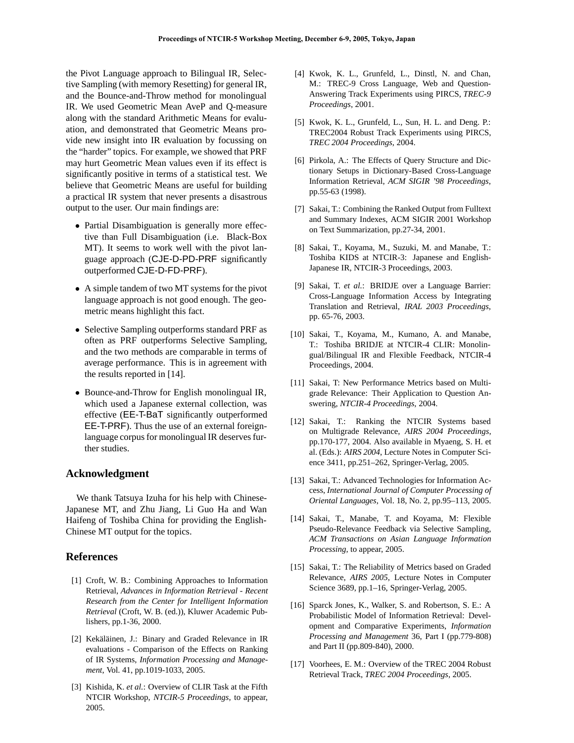the Pivot Language approach to Bilingual IR, Selective Sampling (with memory Resetting) for general IR, and the Bounce-and-Throw method for monolingual IR. We used Geometric Mean AveP and Q-measure along with the standard Arithmetic Means for evaluation, and demonstrated that Geometric Means provide new insight into IR evaluation by focussing on the "harder" topics. For example, we showed that PRF may hurt Geometric Mean values even if its effect is significantly positive in terms of a statistical test. We believe that Geometric Means are useful for building a practical IR system that never presents a disastrous output to the user. Our main findings are:

- Partial Disambiguation is generally more effective than Full Disambiguation (i.e. Black-Box MT). It seems to work well with the pivot language approach (CJE-D-PD-PRF significantly outperformed CJE-D-FD-PRF).
- A simple tandem of two MT systems for the pivot language approach is not good enough. The geometric means highlight this fact.
- Selective Sampling outperforms standard PRF as often as PRF outperforms Selective Sampling, and the two methods are comparable in terms of average performance. This is in agreement with the results reported in [14].
- Bounce-and-Throw for English monolingual IR, which used a Japanese external collection, was effective (EE-T-BaT significantly outperformed EE-T-PRF). Thus the use of an external foreignlanguage corpus for monolingual IR deserves further studies.

### **Acknowledgment**

We thank Tatsuya Izuha for his help with Chinese-Japanese MT, and Zhu Jiang, Li Guo Ha and Wan Haifeng of Toshiba China for providing the English-Chinese MT output for the topics.

# **References**

- [1] Croft, W. B.: Combining Approaches to Information Retrieval, *Advances in Information Retrieval - Recent Research from the Center for Intelligent Information Retrieval* (Croft, W. B. (ed.)), Kluwer Academic Publishers, pp.1-36, 2000.
- [2] Kekäläinen, J.: Binary and Graded Relevance in IR evaluations - Comparison of the Effects on Ranking of IR Systems, *Information Processing and Management*, Vol. 41, pp.1019-1033, 2005.
- [3] Kishida, K. *et al.*: Overview of CLIR Task at the Fifth NTCIR Workshop, *NTCIR-5 Proceedings*, to appear, 2005.
- [4] Kwok, K. L., Grunfeld, L., Dinstl, N. and Chan, M.: TREC-9 Cross Language, Web and Question-Answering Track Experiments using PIRCS, *TREC-9 Proceedings*, 2001.
- [5] Kwok, K. L., Grunfeld, L., Sun, H. L. and Deng. P.: TREC2004 Robust Track Experiments using PIRCS, *TREC 2004 Proceedings*, 2004.
- [6] Pirkola, A.: The Effects of Query Structure and Dictionary Setups in Dictionary-Based Cross-Language Information Retrieval, *ACM SIGIR '98 Proceedings*, pp.55-63 (1998).
- [7] Sakai, T.: Combining the Ranked Output from Fulltext and Summary Indexes, ACM SIGIR 2001 Workshop on Text Summarization, pp.27-34, 2001.
- [8] Sakai, T., Koyama, M., Suzuki, M. and Manabe, T.: Toshiba KIDS at NTCIR-3: Japanese and English-Japanese IR, NTCIR-3 Proceedings, 2003.
- [9] Sakai, T. *et al.*: BRIDJE over a Language Barrier: Cross-Language Information Access by Integrating Translation and Retrieval, *IRAL 2003 Proceedings*, pp. 65-76, 2003.
- [10] Sakai, T., Koyama, M., Kumano, A. and Manabe, T.: Toshiba BRIDJE at NTCIR-4 CLIR: Monolingual/Bilingual IR and Flexible Feedback, NTCIR-4 Proceedings, 2004.
- [11] Sakai, T: New Performance Metrics based on Multigrade Relevance: Their Application to Question Answering, *NTCIR-4 Proceedings*, 2004.
- [12] Sakai, T.: Ranking the NTCIR Systems based on Multigrade Relevance, *AIRS 2004 Proceedings*, pp.170-177, 2004. Also available in Myaeng, S. H. et al. (Eds.): *AIRS 2004*, Lecture Notes in Computer Science 3411, pp.251–262, Springer-Verlag, 2005.
- [13] Sakai, T.: Advanced Technologies for Information Access, *International Journal of Computer Processing of Oriental Languages*, Vol. 18, No. 2, pp.95–113, 2005.
- [14] Sakai, T., Manabe, T. and Koyama, M: Flexible Pseudo-Relevance Feedback via Selective Sampling, *ACM Transactions on Asian Language Information Processing*, to appear, 2005.
- [15] Sakai, T.: The Reliability of Metrics based on Graded Relevance, *AIRS 2005*, Lecture Notes in Computer Science 3689, pp.1–16, Springer-Verlag, 2005.
- [16] Sparck Jones, K., Walker, S. and Robertson, S. E.: A Probabilistic Model of Information Retrieval: Development and Comparative Experiments, *Information Processing and Management* 36, Part I (pp.779-808) and Part II (pp.809-840), 2000.
- [17] Voorhees, E. M.: Overview of the TREC 2004 Robust Retrieval Track, *TREC 2004 Proceedings*, 2005.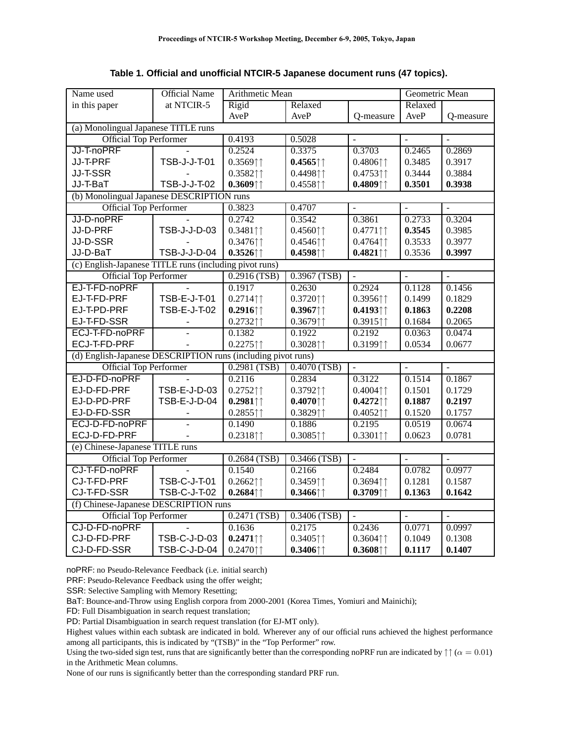**Table 1. Official and unofficial NTCIR-5 Japanese document runs (47 topics).**

| Name used                                                    | <b>Official Name</b> | Arithmetic Mean                           |                                           |                                                      | Geometric Mean      |                  |  |  |  |  |
|--------------------------------------------------------------|----------------------|-------------------------------------------|-------------------------------------------|------------------------------------------------------|---------------------|------------------|--|--|--|--|
| in this paper                                                | at NTCIR-5           | Rigid                                     | Relaxed                                   |                                                      | Relaxed             |                  |  |  |  |  |
|                                                              |                      | AveP                                      | AveP                                      | Q-measure                                            | AveP                | <b>O-measure</b> |  |  |  |  |
| (a) Monolingual Japanese TITLE runs                          |                      |                                           |                                           |                                                      |                     |                  |  |  |  |  |
| <b>Official Top Performer</b>                                |                      | 0.4193                                    | 0.5028                                    |                                                      |                     | $\blacksquare$   |  |  |  |  |
| JJ-T-noPRF                                                   |                      | 0.2524                                    | 0.3375                                    | 0.3703                                               | 0.2465              | 0.2869           |  |  |  |  |
| JJ-T-PRF                                                     | TSB-J-J-T-01         | $0.3569$ <sup><math>\dagger</math></sup>  | $0.4565$ <sup><math>\uparrow</math></sup> | $0.4806$ <sup><math>\dagger</math></sup>             | 0.3485              | 0.3917           |  |  |  |  |
| JJ-T-SSR                                                     |                      | $0.3582$ $\uparrow$                       | 0.449811                                  | $0.4753$ $\uparrow$                                  | 0.3444              | 0.3884           |  |  |  |  |
| JJ-T-BaT                                                     | TSB-J-J-T-02         | $0.3609$ <sup><math>\dagger</math></sup>  | $0.4558$ <sup><math>\uparrow</math></sup> | $0.4809$ <sup><math>\uparrow</math></sup> $\uparrow$ | 0.3501              | 0.3938           |  |  |  |  |
| (b) Monolingual Japanese DESCRIPTION runs                    |                      |                                           |                                           |                                                      |                     |                  |  |  |  |  |
| <b>Official Top Performer</b>                                |                      | 0.3823                                    | 0.4707                                    | $\overline{a}$                                       | $\sim$              | $\mathbb{L}$     |  |  |  |  |
| JJ-D-noPRF                                                   |                      | 0.2742                                    | 0.3542                                    | 0.3861                                               | 0.2733              | 0.3204           |  |  |  |  |
| JJ-D-PRF                                                     | TSB-J-J-D-03         | $0.3481$ $\uparrow$ $\uparrow$            | $0.4560$ <sup><math>\uparrow</math></sup> | $0.4771$ $\uparrow$ $\uparrow$                       | 0.3545              | 0.3985           |  |  |  |  |
| JJ-D-SSR                                                     |                      | $0.3476$ <sup><math>\uparrow</math></sup> | $0.4546$ <sup><math>\uparrow</math></sup> | $0.4764$ <sup><math>\uparrow</math></sup>            | 0.3533              | 0.3977           |  |  |  |  |
| JJ-D-BaT                                                     | TSB-J-J-D-04         | $0.3526$ <sup><math>\uparrow</math></sup> | $0.4598$ <sup><math>\uparrow</math></sup> | $0.4821$ $\uparrow$ $\uparrow$                       | 0.3536              | 0.3997           |  |  |  |  |
| (c) English-Japanese TITLE runs (including pivot runs)       |                      |                                           |                                           |                                                      |                     |                  |  |  |  |  |
| <b>Official Top Performer</b>                                |                      | $0.2916$ (TSB)                            | $0.3967$ (TSB)                            | $\omega$                                             | $\mathbb{L}$        | $\mathbf{r}$     |  |  |  |  |
| EJ-T-FD-noPRF                                                |                      | 0.1917                                    | 0.2630                                    | 0.2924                                               | 0.1128              | 0.1456           |  |  |  |  |
| EJ-T-FD-PRF                                                  | TSB-E-J-T-01         | $0.2714$ $\uparrow$                       | $0.3720$ $\uparrow$                       | $0.3956$ <sup><math>\uparrow</math></sup>            | 0.1499              | 0.1829           |  |  |  |  |
| EJ-T-PD-PRF                                                  | TSB-E-J-T-02         | $0.2916$ $\uparrow$ $\uparrow$            | $0.3967$ <sup><math>\uparrow</math></sup> | $0.4193$ <sup><math>\dagger</math></sup>             | 0.1863              | 0.2208           |  |  |  |  |
| EJ-T-FD-SSR                                                  |                      | $0.2732$ $\uparrow$ $\uparrow$            | $0.3679$ <sup><math>\dagger</math></sup>  | $0.3915$ <sup><math>\uparrow</math></sup>            | 0.1684              | 0.2065           |  |  |  |  |
| ECJ-T-FD-noPRF                                               |                      | 0.1382                                    | 0.1922                                    | 0.2192                                               | 0.0363              | 0.0474           |  |  |  |  |
| ECJ-T-FD-PRF                                                 |                      | $0.2275$ <sup><math>\uparrow</math></sup> | $0.3028$ $\uparrow$ $\uparrow$            | 0.319911                                             | 0.0534              | 0.0677           |  |  |  |  |
| (d) English-Japanese DESCRIPTION runs (including pivot runs) |                      |                                           |                                           |                                                      |                     |                  |  |  |  |  |
| <b>Official Top Performer</b>                                |                      | $0.2981$ (TSB)                            | 0.4070(TSB)                               | $\mathbb{L}$                                         | $\overline{a}$      | $\overline{a}$   |  |  |  |  |
| EJ-D-FD-noPRF                                                |                      | 0.2116                                    | 0.2834                                    | 0.3122                                               | 0.1514              | 0.1867           |  |  |  |  |
| EJ-D-FD-PRF                                                  | TSB-E-J-D-03         | $0.2752$ $\uparrow$ $\uparrow$            | $0.3792$ $\uparrow$ $\uparrow$            | $0.4004$ $\uparrow$ $\uparrow$                       | 0.1501              | 0.1729           |  |  |  |  |
| EJ-D-PD-PRF                                                  | TSB-E-J-D-04         | $0.2981$ $\uparrow$ $\uparrow$            | $0.4070$ $\uparrow$ $\uparrow$            | $0.4272$ $\uparrow$ $\uparrow$                       | 0.1887              | 0.2197           |  |  |  |  |
| EJ-D-FD-SSR                                                  |                      | $0.2855$ <sup><math>\uparrow</math></sup> | 0.382911                                  | $0.4052$ $\uparrow$                                  | 0.1520              | 0.1757           |  |  |  |  |
| ECJ-D-FD-noPRF                                               | $\overline{a}$       | 0.1490                                    | 0.1886                                    | 0.2195                                               | 0.0519              | 0.0674           |  |  |  |  |
| ECJ-D-FD-PRF                                                 |                      | $0.2318$ $\uparrow$ $\uparrow$            | $0.3085$ $\uparrow$                       | $0.3301$ $\uparrow$                                  | 0.0623              | 0.0781           |  |  |  |  |
| (e) Chinese-Japanese TITLE runs                              |                      |                                           |                                           |                                                      |                     |                  |  |  |  |  |
| <b>Official Top Performer</b>                                |                      | $0.2684$ (TSB)                            | $0.3466$ (TSB)                            | $\blacksquare$                                       | $\mathbb{L}$        | $\overline{a}$   |  |  |  |  |
| CJ-T-FD-noPRF                                                |                      | 0.1540                                    | 0.2166                                    | 0.2484                                               | 0.0782              | 0.0977           |  |  |  |  |
| CJ-T-FD-PRF                                                  | <b>TSB-C-J-T-01</b>  | $0.2662$ $\uparrow$                       | 0.345911                                  | 0.369411                                             | 0.1281              | 0.1587           |  |  |  |  |
| CJ-T-FD-SSR                                                  | <b>TSB-C-J-T-02</b>  | $0.2684$ <sup><math>\uparrow</math></sup> | $0.3466$ <sup><math>\dagger</math></sup>  | $0.3709$ $\uparrow$                                  | 0.1363              | 0.1642           |  |  |  |  |
| (f) Chinese-Japanese DESCRIPTION runs                        |                      |                                           |                                           |                                                      |                     |                  |  |  |  |  |
| <b>Official Top Performer</b>                                |                      | 0.2471(TSB)                               | $0.3406$ (TSB)                            | $\omega$                                             | $\bar{\phantom{a}}$ | $\mathbb{L}$     |  |  |  |  |
| CJ-D-FD-noPRF                                                |                      | 0.1636                                    | 0.2175                                    | 0.2436                                               | 0.0771              | 0.0997           |  |  |  |  |
| CJ-D-FD-PRF                                                  | <b>TSB-C-J-D-03</b>  | $0.2471$                                  | $0.3405$ <sup><math>\uparrow</math></sup> | $0.3604$ $\uparrow$                                  | 0.1049              | 0.1308           |  |  |  |  |
| CJ-D-FD-SSR                                                  | TSB-C-J-D-04         | $0.2470$ <sup><math>\dagger</math></sup>  | $0.3406$ <sup><math>\dagger</math></sup>  | $0.3608$ <sup><math>\dagger</math></sup>             | 0.1117              | 0.1407           |  |  |  |  |

noPRF: no Pseudo-Relevance Feedback (i.e. initial search)

PRF: Pseudo-Relevance Feedback using the offer weight;

SSR: Selective Sampling with Memory Resetting;

BaT: Bounce-and-Throw using English corpora from 2000-2001 (Korea Times, Yomiuri and Mainichi);

FD: Full Disambiguation in search request translation;

PD: Partial Disambiguation in search request translation (for EJ-MT only).

Highest values within each subtask are indicated in bold. Wherever any of our official runs achieved the highest performance among all participants, this is indicated by "(TSB)" in the "Top Performer" row.

Using the two-sided sign test, runs that are significantly better than the corresponding noPRF run are indicated by  $\uparrow \uparrow (\alpha = 0.01)$ in the Arithmetic Mean columns.

None of our runs is significantly better than the corresponding standard PRF run.